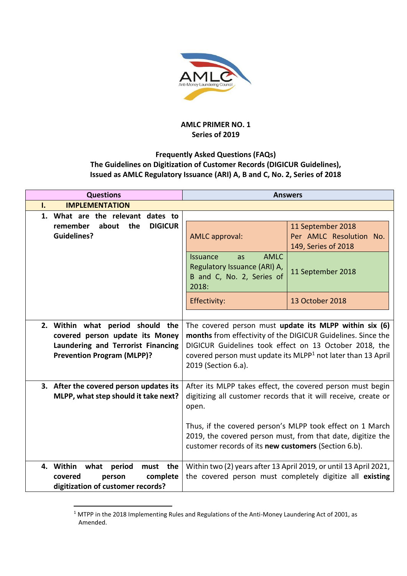

## **AMLC PRIMER NO. 1 Series of 2019**

## **Frequently Asked Questions (FAQs) The Guidelines on Digitization of Customer Records (DIGICUR Guidelines), Issued as AMLC Regulatory Issuance (ARI) A, B and C, No. 2, Series of 2018**

| <b>Questions</b>                                                                                        | <b>Answers</b>                                                                                                                     |                                                                                                                               |
|---------------------------------------------------------------------------------------------------------|------------------------------------------------------------------------------------------------------------------------------------|-------------------------------------------------------------------------------------------------------------------------------|
| <b>IMPLEMENTATION</b><br>ı.                                                                             |                                                                                                                                    |                                                                                                                               |
| 1. What are the relevant dates to                                                                       |                                                                                                                                    |                                                                                                                               |
| about<br>the<br><b>DIGICUR</b><br>remember<br><b>Guidelines?</b>                                        | <b>AMLC</b> approval:                                                                                                              | 11 September 2018<br>Per AMLC Resolution No.<br>149, Series of 2018                                                           |
|                                                                                                         | <b>AMLC</b><br>Issuance<br>as<br>Regulatory Issuance (ARI) A,<br>B and C, No. 2, Series of<br>2018:                                | 11 September 2018                                                                                                             |
|                                                                                                         | Effectivity:                                                                                                                       | 13 October 2018                                                                                                               |
|                                                                                                         |                                                                                                                                    |                                                                                                                               |
| 2. Within what period should the                                                                        | The covered person must update its MLPP within six (6)<br>months from effectivity of the DIGICUR Guidelines. Since the             |                                                                                                                               |
| covered person update its Money<br>Laundering and Terrorist Financing                                   |                                                                                                                                    |                                                                                                                               |
| <b>Prevention Program (MLPP)?</b>                                                                       | DIGICUR Guidelines took effect on 13 October 2018, the<br>covered person must update its MLPP <sup>1</sup> not later than 13 April |                                                                                                                               |
|                                                                                                         | 2019 (Section 6.a).                                                                                                                |                                                                                                                               |
| 3. After the covered person updates its                                                                 |                                                                                                                                    | After its MLPP takes effect, the covered person must begin                                                                    |
| MLPP, what step should it take next?                                                                    | open.                                                                                                                              | digitizing all customer records that it will receive, create or                                                               |
|                                                                                                         |                                                                                                                                    | Thus, if the covered person's MLPP took effect on 1 March                                                                     |
|                                                                                                         | customer records of its new customers (Section 6.b).                                                                               | 2019, the covered person must, from that date, digitize the                                                                   |
| 4. Within what period<br>must the<br>complete<br>covered<br>person<br>digitization of customer records? |                                                                                                                                    | Within two (2) years after 13 April 2019, or until 13 April 2021,<br>the covered person must completely digitize all existing |

<sup>-</sup><sup>1</sup> MTPP in the 2018 Implementing Rules and Regulations of the Anti-Money Laundering Act of 2001, as Amended.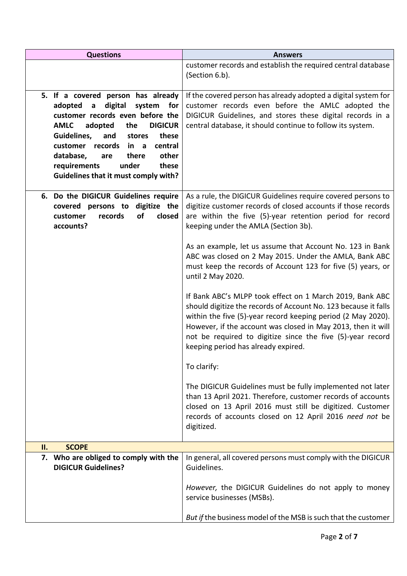| <b>Questions</b>                                                                                                                                                                                                                                                                                                                                                                | <b>Answers</b>                                                                                                                                                                                                                                                                                                                                                   |
|---------------------------------------------------------------------------------------------------------------------------------------------------------------------------------------------------------------------------------------------------------------------------------------------------------------------------------------------------------------------------------|------------------------------------------------------------------------------------------------------------------------------------------------------------------------------------------------------------------------------------------------------------------------------------------------------------------------------------------------------------------|
|                                                                                                                                                                                                                                                                                                                                                                                 | customer records and establish the required central database<br>(Section 6.b).                                                                                                                                                                                                                                                                                   |
| 5. If a covered person has already<br>digital<br>for<br>adopted<br>system<br>a<br>customer records even before the<br><b>AMLC</b><br><b>DIGICUR</b><br>adopted<br>the<br>these<br>Guidelines,<br>and<br>stores<br>central<br>customer<br>records<br>in a<br>other<br>database,<br>there<br>are<br>under<br>requirements<br>these<br><b>Guidelines that it must comply with?</b> | If the covered person has already adopted a digital system for<br>customer records even before the AMLC adopted the<br>DIGICUR Guidelines, and stores these digital records in a<br>central database, it should continue to follow its system.                                                                                                                   |
| 6. Do the DIGICUR Guidelines require<br>covered persons to<br>digitize the<br>of<br>customer<br>records<br>closed<br>accounts?                                                                                                                                                                                                                                                  | As a rule, the DIGICUR Guidelines require covered persons to<br>digitize customer records of closed accounts if those records<br>are within the five (5)-year retention period for record<br>keeping under the AMLA (Section 3b).                                                                                                                                |
|                                                                                                                                                                                                                                                                                                                                                                                 | As an example, let us assume that Account No. 123 in Bank<br>ABC was closed on 2 May 2015. Under the AMLA, Bank ABC<br>must keep the records of Account 123 for five (5) years, or<br>until 2 May 2020.                                                                                                                                                          |
|                                                                                                                                                                                                                                                                                                                                                                                 | If Bank ABC's MLPP took effect on 1 March 2019, Bank ABC<br>should digitize the records of Account No. 123 because it falls<br>within the five (5)-year record keeping period (2 May 2020).<br>However, if the account was closed in May 2013, then it will<br>not be required to digitize since the five (5)-year record<br>keeping period has already expired. |
|                                                                                                                                                                                                                                                                                                                                                                                 | To clarify:                                                                                                                                                                                                                                                                                                                                                      |
|                                                                                                                                                                                                                                                                                                                                                                                 | The DIGICUR Guidelines must be fully implemented not later<br>than 13 April 2021. Therefore, customer records of accounts<br>closed on 13 April 2016 must still be digitized. Customer<br>records of accounts closed on 12 April 2016 need not be<br>digitized.                                                                                                  |
| <b>SCOPE</b><br>II.                                                                                                                                                                                                                                                                                                                                                             |                                                                                                                                                                                                                                                                                                                                                                  |
| Who are obliged to comply with the<br>7.<br><b>DIGICUR Guidelines?</b>                                                                                                                                                                                                                                                                                                          | In general, all covered persons must comply with the DIGICUR<br>Guidelines.                                                                                                                                                                                                                                                                                      |
|                                                                                                                                                                                                                                                                                                                                                                                 | However, the DIGICUR Guidelines do not apply to money<br>service businesses (MSBs).                                                                                                                                                                                                                                                                              |
|                                                                                                                                                                                                                                                                                                                                                                                 | But if the business model of the MSB is such that the customer                                                                                                                                                                                                                                                                                                   |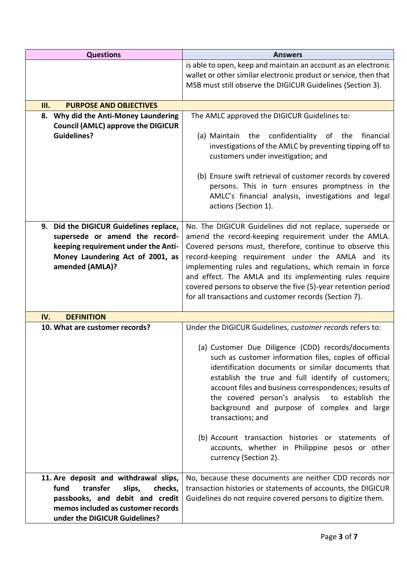| <b>Questions</b>                                                                                                                                                                         | <b>Answers</b>                                                                                                                                                                                                                                                                                                                                                                                                                                                                        |
|------------------------------------------------------------------------------------------------------------------------------------------------------------------------------------------|---------------------------------------------------------------------------------------------------------------------------------------------------------------------------------------------------------------------------------------------------------------------------------------------------------------------------------------------------------------------------------------------------------------------------------------------------------------------------------------|
|                                                                                                                                                                                          | is able to open, keep and maintain an account as an electronic<br>wallet or other similar electronic product or service, then that                                                                                                                                                                                                                                                                                                                                                    |
|                                                                                                                                                                                          | MSB must still observe the DIGICUR Guidelines (Section 3).                                                                                                                                                                                                                                                                                                                                                                                                                            |
| Ш.<br><b>PURPOSE AND OBJECTIVES</b>                                                                                                                                                      |                                                                                                                                                                                                                                                                                                                                                                                                                                                                                       |
| Why did the Anti-Money Laundering<br>8.                                                                                                                                                  | The AMLC approved the DIGICUR Guidelines to:                                                                                                                                                                                                                                                                                                                                                                                                                                          |
| <b>Council (AMLC) approve the DIGICUR</b><br><b>Guidelines?</b>                                                                                                                          | (a) Maintain the confidentiality of the<br>financial<br>investigations of the AMLC by preventing tipping off to<br>customers under investigation; and                                                                                                                                                                                                                                                                                                                                 |
|                                                                                                                                                                                          | (b) Ensure swift retrieval of customer records by covered<br>persons. This in turn ensures promptness in the<br>AMLC's financial analysis, investigations and legal<br>actions (Section 1).                                                                                                                                                                                                                                                                                           |
| 9. Did the DIGICUR Guidelines replace,<br>supersede or amend the record-<br>keeping requirement under the Anti-<br>Money Laundering Act of 2001, as<br>amended (AMLA)?                   | No. The DIGICUR Guidelines did not replace, supersede or<br>amend the record-keeping requirement under the AMLA.<br>Covered persons must, therefore, continue to observe this<br>record-keeping requirement under the AMLA and its<br>implementing rules and regulations, which remain in force<br>and effect. The AMLA and its implementing rules require<br>covered persons to observe the five (5)-year retention period<br>for all transactions and customer records (Section 7). |
| IV.<br><b>DEFINITION</b>                                                                                                                                                                 |                                                                                                                                                                                                                                                                                                                                                                                                                                                                                       |
| 10. What are customer records?                                                                                                                                                           | Under the DIGICUR Guidelines, customer records refers to:                                                                                                                                                                                                                                                                                                                                                                                                                             |
|                                                                                                                                                                                          | (a) Customer Due Diligence (CDD) records/documents<br>such as customer information files, copies of official<br>identification documents or similar documents that<br>establish the true and full identify of customers;<br>account files and business correspondences; results of<br>the covered person's analysis to establish the<br>background and purpose of complex and large<br>transactions; and                                                                              |
|                                                                                                                                                                                          | (b) Account transaction histories or statements of<br>accounts, whether in Philippine pesos or other<br>currency (Section 2).                                                                                                                                                                                                                                                                                                                                                         |
| 11. Are deposit and withdrawal slips,<br>transfer<br>fund<br>slips,<br>checks,<br>passbooks, and debit and credit<br>memos included as customer records<br>under the DIGICUR Guidelines? | No, because these documents are neither CDD records nor<br>transaction histories or statements of accounts, the DIGICUR<br>Guidelines do not require covered persons to digitize them.                                                                                                                                                                                                                                                                                                |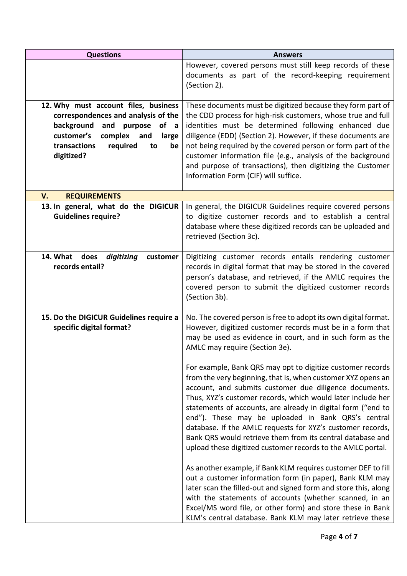| <b>Questions</b>                                                                                                                                                                                                   | <b>Answers</b>                                                                                                                                                                                                                                                                                                                                                                                                                                                                                                                                                       |
|--------------------------------------------------------------------------------------------------------------------------------------------------------------------------------------------------------------------|----------------------------------------------------------------------------------------------------------------------------------------------------------------------------------------------------------------------------------------------------------------------------------------------------------------------------------------------------------------------------------------------------------------------------------------------------------------------------------------------------------------------------------------------------------------------|
|                                                                                                                                                                                                                    | However, covered persons must still keep records of these<br>documents as part of the record-keeping requirement<br>(Section 2).                                                                                                                                                                                                                                                                                                                                                                                                                                     |
| 12. Why must account files, business<br>correspondences and analysis of the<br>background<br>and<br>purpose<br>of a<br>customer's<br>complex<br>and<br>large<br>transactions<br>required<br>to<br>be<br>digitized? | These documents must be digitized because they form part of<br>the CDD process for high-risk customers, whose true and full<br>identities must be determined following enhanced due<br>diligence (EDD) (Section 2). However, if these documents are<br>not being required by the covered person or form part of the<br>customer information file (e.g., analysis of the background<br>and purpose of transactions), then digitizing the Customer<br>Information Form (CIF) will suffice.                                                                             |
| V.<br><b>REQUIREMENTS</b>                                                                                                                                                                                          |                                                                                                                                                                                                                                                                                                                                                                                                                                                                                                                                                                      |
| 13. In general, what do the DIGICUR<br><b>Guidelines require?</b>                                                                                                                                                  | In general, the DIGICUR Guidelines require covered persons<br>to digitize customer records and to establish a central<br>database where these digitized records can be uploaded and<br>retrieved (Section 3c).                                                                                                                                                                                                                                                                                                                                                       |
| 14. What does<br>digitizing<br>customer<br>records entail?                                                                                                                                                         | Digitizing customer records entails rendering customer<br>records in digital format that may be stored in the covered<br>person's database, and retrieved, if the AMLC requires the<br>covered person to submit the digitized customer records<br>(Section 3b).                                                                                                                                                                                                                                                                                                      |
| 15. Do the DIGICUR Guidelines require a<br>specific digital format?                                                                                                                                                | No. The covered person is free to adopt its own digital format.<br>However, digitized customer records must be in a form that<br>may be used as evidence in court, and in such form as the<br>AMLC may require (Section 3e).                                                                                                                                                                                                                                                                                                                                         |
|                                                                                                                                                                                                                    | For example, Bank QRS may opt to digitize customer records<br>from the very beginning, that is, when customer XYZ opens an<br>account, and submits customer due diligence documents.<br>Thus, XYZ's customer records, which would later include her<br>statements of accounts, are already in digital form ("end to<br>end"). These may be uploaded in Bank QRS's central<br>database. If the AMLC requests for XYZ's customer records,<br>Bank QRS would retrieve them from its central database and<br>upload these digitized customer records to the AMLC portal. |
|                                                                                                                                                                                                                    | As another example, if Bank KLM requires customer DEF to fill<br>out a customer information form (in paper), Bank KLM may<br>later scan the filled-out and signed form and store this, along<br>with the statements of accounts (whether scanned, in an<br>Excel/MS word file, or other form) and store these in Bank<br>KLM's central database. Bank KLM may later retrieve these                                                                                                                                                                                   |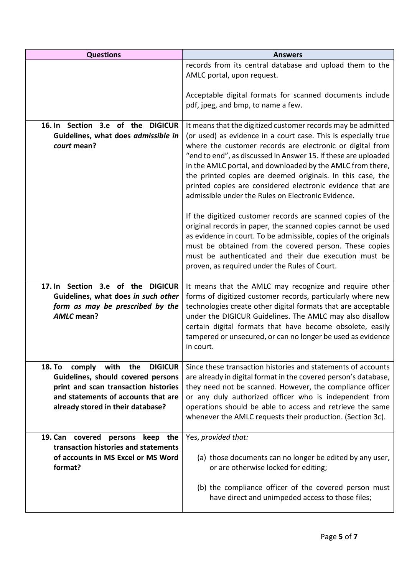| <b>Questions</b>                                                                                                                                                                                         | <b>Answers</b>                                                                                                                                                                                                                                                                                                                                                                                                                                                                                                                                                               |
|----------------------------------------------------------------------------------------------------------------------------------------------------------------------------------------------------------|------------------------------------------------------------------------------------------------------------------------------------------------------------------------------------------------------------------------------------------------------------------------------------------------------------------------------------------------------------------------------------------------------------------------------------------------------------------------------------------------------------------------------------------------------------------------------|
|                                                                                                                                                                                                          | records from its central database and upload them to the<br>AMLC portal, upon request.                                                                                                                                                                                                                                                                                                                                                                                                                                                                                       |
|                                                                                                                                                                                                          | Acceptable digital formats for scanned documents include<br>pdf, jpeg, and bmp, to name a few.                                                                                                                                                                                                                                                                                                                                                                                                                                                                               |
| 16. In Section 3.e of the DIGICUR<br>Guidelines, what does admissible in<br>court mean?                                                                                                                  | It means that the digitized customer records may be admitted<br>(or used) as evidence in a court case. This is especially true<br>where the customer records are electronic or digital from<br>"end to end", as discussed in Answer 15. If these are uploaded<br>in the AMLC portal, and downloaded by the AMLC from there,<br>the printed copies are deemed originals. In this case, the<br>printed copies are considered electronic evidence that are<br>admissible under the Rules on Electronic Evidence.<br>If the digitized customer records are scanned copies of the |
|                                                                                                                                                                                                          | original records in paper, the scanned copies cannot be used<br>as evidence in court. To be admissible, copies of the originals<br>must be obtained from the covered person. These copies<br>must be authenticated and their due execution must be<br>proven, as required under the Rules of Court.                                                                                                                                                                                                                                                                          |
| 17. In Section 3.e of the DIGICUR<br>Guidelines, what does in such other<br>form as may be prescribed by the<br><b>AMLC</b> mean?                                                                        | It means that the AMLC may recognize and require other<br>forms of digitized customer records, particularly where new<br>technologies create other digital formats that are acceptable<br>under the DIGICUR Guidelines. The AMLC may also disallow<br>certain digital formats that have become obsolete, easily<br>tampered or unsecured, or can no longer be used as evidence<br>in court.                                                                                                                                                                                  |
| comply with<br>18. To<br>the<br><b>DIGICUR</b><br>Guidelines, should covered persons<br>print and scan transaction histories<br>and statements of accounts that are<br>already stored in their database? | Since these transaction histories and statements of accounts<br>are already in digital format in the covered person's database,<br>they need not be scanned. However, the compliance officer<br>or any duly authorized officer who is independent from<br>operations should be able to access and retrieve the same<br>whenever the AMLC requests their production. (Section 3c).                                                                                                                                                                                            |
| 19. Can covered<br>persons keep the<br>transaction histories and statements<br>of accounts in MS Excel or MS Word<br>format?                                                                             | Yes, provided that:<br>(a) those documents can no longer be edited by any user,<br>or are otherwise locked for editing;                                                                                                                                                                                                                                                                                                                                                                                                                                                      |
|                                                                                                                                                                                                          | (b) the compliance officer of the covered person must<br>have direct and unimpeded access to those files;                                                                                                                                                                                                                                                                                                                                                                                                                                                                    |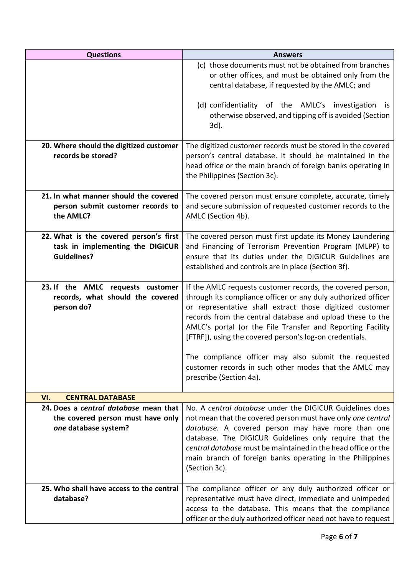| <b>Questions</b>                                                           | <b>Answers</b>                                                                                                        |
|----------------------------------------------------------------------------|-----------------------------------------------------------------------------------------------------------------------|
|                                                                            | (c) those documents must not be obtained from branches                                                                |
|                                                                            | or other offices, and must be obtained only from the                                                                  |
|                                                                            | central database, if requested by the AMLC; and                                                                       |
|                                                                            | (d) confidentiality of the AMLC's investigation<br>İS.                                                                |
|                                                                            | otherwise observed, and tipping off is avoided (Section                                                               |
|                                                                            | 3d).                                                                                                                  |
|                                                                            |                                                                                                                       |
| 20. Where should the digitized customer                                    | The digitized customer records must be stored in the covered                                                          |
| records be stored?                                                         | person's central database. It should be maintained in the                                                             |
|                                                                            | head office or the main branch of foreign banks operating in<br>the Philippines (Section 3c).                         |
|                                                                            |                                                                                                                       |
| 21. In what manner should the covered                                      | The covered person must ensure complete, accurate, timely                                                             |
| person submit customer records to                                          | and secure submission of requested customer records to the                                                            |
| the AMLC?                                                                  | AMLC (Section 4b).                                                                                                    |
|                                                                            |                                                                                                                       |
| 22. What is the covered person's first<br>task in implementing the DIGICUR | The covered person must first update its Money Laundering<br>and Financing of Terrorism Prevention Program (MLPP) to  |
| <b>Guidelines?</b>                                                         | ensure that its duties under the DIGICUR Guidelines are                                                               |
|                                                                            | established and controls are in place (Section 3f).                                                                   |
|                                                                            |                                                                                                                       |
| 23. If the AMLC requests customer                                          | If the AMLC requests customer records, the covered person,                                                            |
| records, what should the covered                                           | through its compliance officer or any duly authorized officer                                                         |
| person do?                                                                 | or representative shall extract those digitized customer<br>records from the central database and upload these to the |
|                                                                            | AMLC's portal (or the File Transfer and Reporting Facility                                                            |
|                                                                            | [FTRF]), using the covered person's log-on credentials.                                                               |
|                                                                            |                                                                                                                       |
|                                                                            | The compliance officer may also submit the requested                                                                  |
|                                                                            | customer records in such other modes that the AMLC may<br>prescribe (Section 4a).                                     |
|                                                                            |                                                                                                                       |
| VI.<br><b>CENTRAL DATABASE</b>                                             |                                                                                                                       |
| 24. Does a central database mean that                                      | No. A central database under the DIGICUR Guidelines does                                                              |
| the covered person must have only                                          | not mean that the covered person must have only one central                                                           |
| one database system?                                                       | database. A covered person may have more than one<br>database. The DIGICUR Guidelines only require that the           |
|                                                                            | central database must be maintained in the head office or the                                                         |
|                                                                            | main branch of foreign banks operating in the Philippines                                                             |
|                                                                            | (Section 3c).                                                                                                         |
|                                                                            |                                                                                                                       |
| 25. Who shall have access to the central<br>database?                      | The compliance officer or any duly authorized officer or                                                              |
|                                                                            | representative must have direct, immediate and unimpeded<br>access to the database. This means that the compliance    |
|                                                                            | officer or the duly authorized officer need not have to request                                                       |